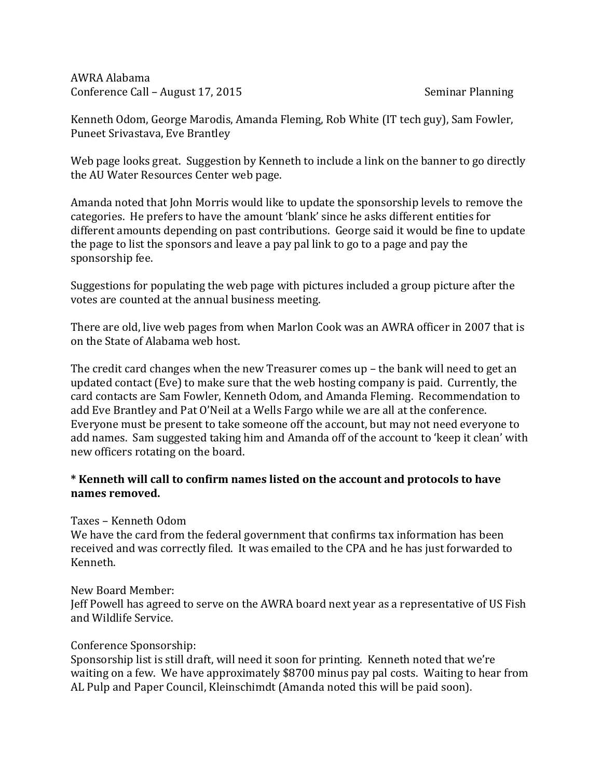AWRA Alabama Conference Call – August 17, 2015 Seminar Planning

Kenneth Odom, George Marodis, Amanda Fleming, Rob White (IT tech guy), Sam Fowler, Puneet Srivastava, Eve Brantley

Web page looks great. Suggestion by Kenneth to include a link on the banner to go directly the AU Water Resources Center web page.

Amanda noted that John Morris would like to update the sponsorship levels to remove the categories. He prefers to have the amount 'blank' since he asks different entities for different amounts depending on past contributions. George said it would be fine to update the page to list the sponsors and leave a pay pal link to go to a page and pay the sponsorship fee.

Suggestions for populating the web page with pictures included a group picture after the votes are counted at the annual business meeting.

There are old, live web pages from when Marlon Cook was an AWRA officer in 2007 that is on the State of Alabama web host.

The credit card changes when the new Treasurer comes up – the bank will need to get an updated contact (Eve) to make sure that the web hosting company is paid. Currently, the card contacts are Sam Fowler, Kenneth Odom, and Amanda Fleming. Recommendation to add Eve Brantley and Pat O'Neil at a Wells Fargo while we are all at the conference. Everyone must be present to take someone off the account, but may not need everyone to add names. Sam suggested taking him and Amanda off of the account to 'keep it clean' with new officers rotating on the board.

## **\* Kenneth will call to confirm names listed on the account and protocols to have names removed.**

### Taxes – Kenneth Odom

We have the card from the federal government that confirms tax information has been received and was correctly filed. It was emailed to the CPA and he has just forwarded to Kenneth.

New Board Member:

Jeff Powell has agreed to serve on the AWRA board next year as a representative of US Fish and Wildlife Service.

### Conference Sponsorship:

Sponsorship list is still draft, will need it soon for printing. Kenneth noted that we're waiting on a few. We have approximately \$8700 minus pay pal costs. Waiting to hear from AL Pulp and Paper Council, Kleinschimdt (Amanda noted this will be paid soon).